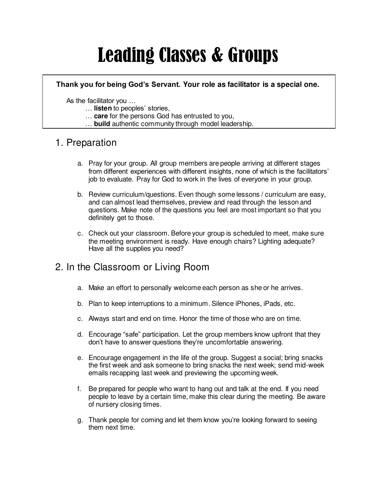# Leading Classes & Groups

#### **Thank you for being God's Servant. Your role as facilitator is a special one.**

As the facilitator you …

- … **listen** to peoples' stories,
- … **care** for the persons God has entrusted to you,
- … **build** authentic community through model leadership.

## 1. Preparation

- a. Pray for your group. All group members are people arriving at different stages from different experiences with different insights, none of which is the facilitators' job to evaluate. Pray for God to work in the lives of everyone in your group.
- b. Review curriculum/questions. Even though some lessons / curriculum are easy, and can almost lead themselves, preview and read through the lesson and questions. Make note of the questions you feel are most important so that you definitely get to those.
- c. Check out your classroom. Before your group is scheduled to meet, make sure the meeting environment is ready. Have enough chairs? Lighting adequate? Have all the supplies you need?

## 2. In the Classroom or Living Room

- a. Make an effort to personally welcome each person as she or he arrives.
- b. Plan to keep interruptions to a minimum. Silence iPhones, iPads, etc.
- c. Always start and end on time. Honor the time of those who are on time.
- d. Encourage "safe" participation. Let the group members know upfront that they don't have to answer questions they're uncomfortable answering.
- e. Encourage engagement in the life of the group. Suggest a social; bring snacks the first week and ask someone to bring snacks the next week; send mid-week emails recapping last week and previewing the upcoming week.
- f. Be prepared for people who want to hang out and talk at the end. If you need people to leave by a certain time, make this clear during the meeting. Be aware of nursery closing times.
- g. Thank people for coming and let them know you're looking forward to seeing them next time.